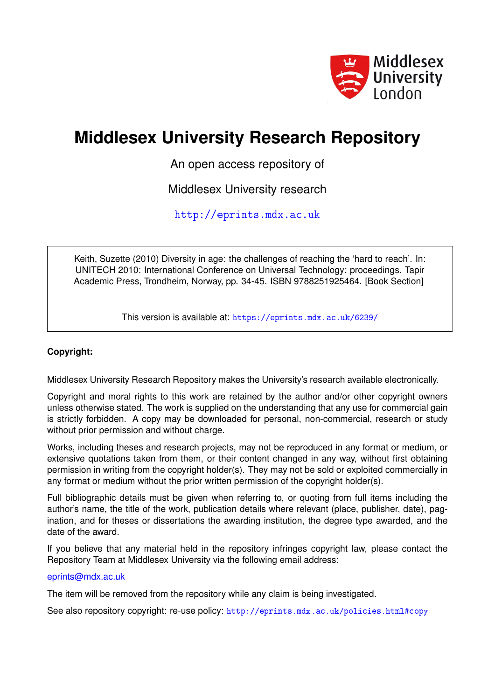

# **Middlesex University Research Repository**

An open access repository of

Middlesex University research

<http://eprints.mdx.ac.uk>

Keith, Suzette (2010) Diversity in age: the challenges of reaching the 'hard to reach'. In: UNITECH 2010: International Conference on Universal Technology: proceedings. Tapir Academic Press, Trondheim, Norway, pp. 34-45. ISBN 9788251925464. [Book Section]

This version is available at: <https://eprints.mdx.ac.uk/6239/>

## **Copyright:**

Middlesex University Research Repository makes the University's research available electronically.

Copyright and moral rights to this work are retained by the author and/or other copyright owners unless otherwise stated. The work is supplied on the understanding that any use for commercial gain is strictly forbidden. A copy may be downloaded for personal, non-commercial, research or study without prior permission and without charge.

Works, including theses and research projects, may not be reproduced in any format or medium, or extensive quotations taken from them, or their content changed in any way, without first obtaining permission in writing from the copyright holder(s). They may not be sold or exploited commercially in any format or medium without the prior written permission of the copyright holder(s).

Full bibliographic details must be given when referring to, or quoting from full items including the author's name, the title of the work, publication details where relevant (place, publisher, date), pagination, and for theses or dissertations the awarding institution, the degree type awarded, and the date of the award.

If you believe that any material held in the repository infringes copyright law, please contact the Repository Team at Middlesex University via the following email address:

## [eprints@mdx.ac.uk](mailto:eprints@mdx.ac.uk)

The item will be removed from the repository while any claim is being investigated.

See also repository copyright: re-use policy: <http://eprints.mdx.ac.uk/policies.html#copy>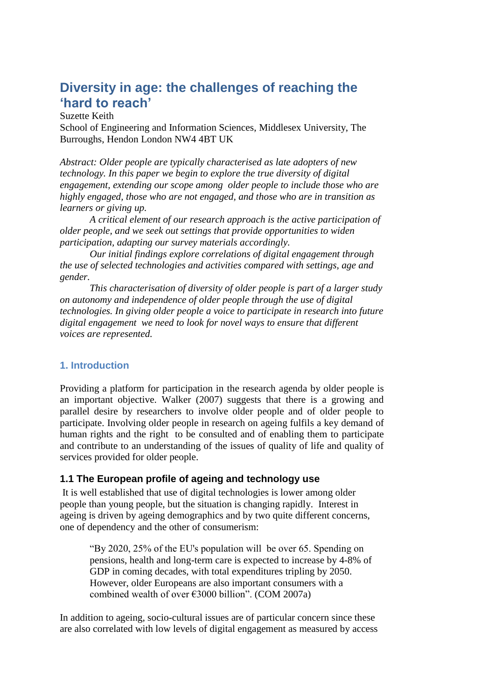## **Diversity in age: the challenges of reaching the 'hard to reach'**

Suzette Keith

School of Engineering and Information Sciences, Middlesex University, The Burroughs, Hendon London NW4 4BT UK

*Abstract: Older people are typically characterised as late adopters of new technology. In this paper we begin to explore the true diversity of digital engagement, extending our scope among older people to include those who are highly engaged, those who are not engaged, and those who are in transition as learners or giving up.*

*A critical element of our research approach is the active participation of older people, and we seek out settings that provide opportunities to widen participation, adapting our survey materials accordingly.*

*Our initial findings explore correlations of digital engagement through the use of selected technologies and activities compared with settings, age and gender.*

*This characterisation of diversity of older people is part of a larger study on autonomy and independence of older people through the use of digital technologies. In giving older people a voice to participate in research into future digital engagement we need to look for novel ways to ensure that different voices are represented.*

## **1. Introduction**

Providing a platform for participation in the research agenda by older people is an important objective. Walker (2007) suggests that there is a growing and parallel desire by researchers to involve older people and of older people to participate. Involving older people in research on ageing fulfils a key demand of human rights and the right to be consulted and of enabling them to participate and contribute to an understanding of the issues of quality of life and quality of services provided for older people.

## **1.1 The European profile of ageing and technology use**

It is well established that use of digital technologies is lower among older people than young people, but the situation is changing rapidly. Interest in ageing is driven by ageing demographics and by two quite different concerns, one of dependency and the other of consumerism:

"By 2020, 25% of the EU's population will be over 65. Spending on pensions, health and long-term care is expected to increase by 4-8% of GDP in coming decades, with total expenditures tripling by 2050. However, older Europeans are also important consumers with a combined wealth of over €3000 billion". (COM 2007a)

In addition to ageing, socio-cultural issues are of particular concern since these are also correlated with low levels of digital engagement as measured by access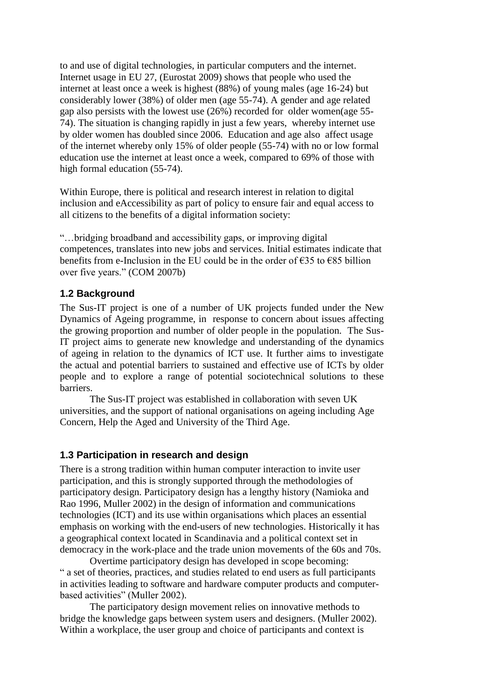to and use of digital technologies, in particular computers and the internet. Internet usage in EU 27, (Eurostat 2009) shows that people who used the internet at least once a week is highest (88%) of young males (age 16-24) but considerably lower (38%) of older men (age 55-74). A gender and age related gap also persists with the lowest use (26%) recorded for older women(age 55- 74). The situation is changing rapidly in just a few years, whereby internet use by older women has doubled since 2006. Education and age also affect usage of the internet whereby only 15% of older people (55-74) with no or low formal education use the internet at least once a week, compared to 69% of those with high formal education (55-74).

Within Europe, there is political and research interest in relation to digital inclusion and eAccessibility as part of policy to ensure fair and equal access to all citizens to the benefits of a digital information society:

"…bridging broadband and accessibility gaps, or improving digital competences, translates into new jobs and services. Initial estimates indicate that benefits from e-Inclusion in the EU could be in the order of  $\epsilon$ 35 to  $\epsilon$ 85 billion over five years." (COM 2007b)

## **1.2 Background**

The Sus-IT project is one of a number of UK projects funded under the New Dynamics of Ageing programme, in response to concern about issues affecting the growing proportion and number of older people in the population. The Sus-IT project aims to generate new knowledge and understanding of the dynamics of ageing in relation to the dynamics of ICT use. It further aims to investigate the actual and potential barriers to sustained and effective use of ICTs by older people and to explore a range of potential sociotechnical solutions to these barriers.

The Sus-IT project was established in collaboration with seven UK universities, and the support of national organisations on ageing including Age Concern, Help the Aged and University of the Third Age.

## **1.3 Participation in research and design**

There is a strong tradition within human computer interaction to invite user participation, and this is strongly supported through the methodologies of participatory design. Participatory design has a lengthy history (Namioka and Rao 1996, Muller 2002) in the design of information and communications technologies (ICT) and its use within organisations which places an essential emphasis on working with the end-users of new technologies. Historically it has a geographical context located in Scandinavia and a political context set in democracy in the work-place and the trade union movements of the 60s and 70s.

Overtime participatory design has developed in scope becoming: " a set of theories, practices, and studies related to end users as full participants in activities leading to software and hardware computer products and computerbased activities" (Muller 2002).

The participatory design movement relies on innovative methods to bridge the knowledge gaps between system users and designers. (Muller 2002). Within a workplace, the user group and choice of participants and context is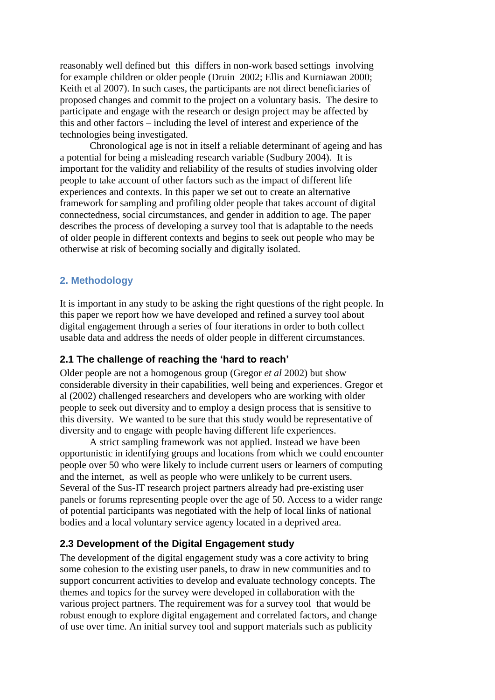reasonably well defined but this differs in non-work based settings involving for example children or older people (Druin 2002; Ellis and Kurniawan 2000; Keith et al 2007). In such cases, the participants are not direct beneficiaries of proposed changes and commit to the project on a voluntary basis. The desire to participate and engage with the research or design project may be affected by this and other factors – including the level of interest and experience of the technologies being investigated.

Chronological age is not in itself a reliable determinant of ageing and has a potential for being a misleading research variable (Sudbury 2004). It is important for the validity and reliability of the results of studies involving older people to take account of other factors such as the impact of different life experiences and contexts. In this paper we set out to create an alternative framework for sampling and profiling older people that takes account of digital connectedness, social circumstances, and gender in addition to age. The paper describes the process of developing a survey tool that is adaptable to the needs of older people in different contexts and begins to seek out people who may be otherwise at risk of becoming socially and digitally isolated.

## **2. Methodology**

It is important in any study to be asking the right questions of the right people. In this paper we report how we have developed and refined a survey tool about digital engagement through a series of four iterations in order to both collect usable data and address the needs of older people in different circumstances.

## **2.1 The challenge of reaching the 'hard to reach'**

Older people are not a homogenous group (Gregor *et al* 2002) but show considerable diversity in their capabilities, well being and experiences. Gregor et al (2002) challenged researchers and developers who are working with older people to seek out diversity and to employ a design process that is sensitive to this diversity. We wanted to be sure that this study would be representative of diversity and to engage with people having different life experiences.

A strict sampling framework was not applied. Instead we have been opportunistic in identifying groups and locations from which we could encounter people over 50 who were likely to include current users or learners of computing and the internet, as well as people who were unlikely to be current users. Several of the Sus-IT research project partners already had pre-existing user panels or forums representing people over the age of 50. Access to a wider range of potential participants was negotiated with the help of local links of national bodies and a local voluntary service agency located in a deprived area.

## **2.3 Development of the Digital Engagement study**

The development of the digital engagement study was a core activity to bring some cohesion to the existing user panels, to draw in new communities and to support concurrent activities to develop and evaluate technology concepts. The themes and topics for the survey were developed in collaboration with the various project partners. The requirement was for a survey tool that would be robust enough to explore digital engagement and correlated factors, and change of use over time. An initial survey tool and support materials such as publicity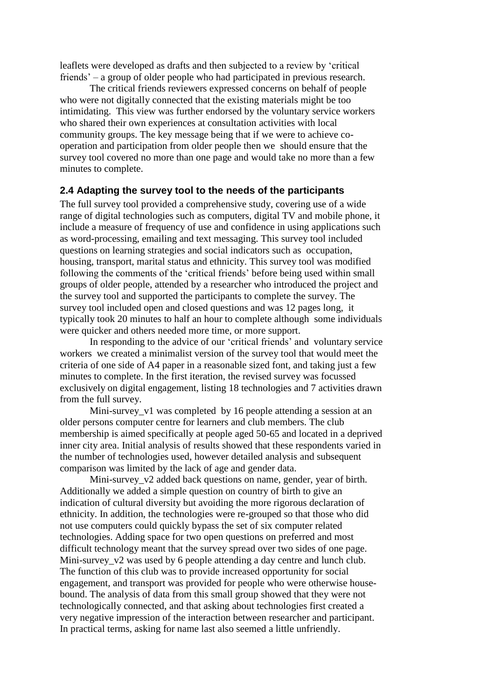leaflets were developed as drafts and then subjected to a review by "critical friends" – a group of older people who had participated in previous research.

The critical friends reviewers expressed concerns on behalf of people who were not digitally connected that the existing materials might be too intimidating. This view was further endorsed by the voluntary service workers who shared their own experiences at consultation activities with local community groups. The key message being that if we were to achieve cooperation and participation from older people then we should ensure that the survey tool covered no more than one page and would take no more than a few minutes to complete.

## **2.4 Adapting the survey tool to the needs of the participants**

The full survey tool provided a comprehensive study, covering use of a wide range of digital technologies such as computers, digital TV and mobile phone, it include a measure of frequency of use and confidence in using applications such as word-processing, emailing and text messaging. This survey tool included questions on learning strategies and social indicators such as occupation, housing, transport, marital status and ethnicity. This survey tool was modified following the comments of the "critical friends" before being used within small groups of older people, attended by a researcher who introduced the project and the survey tool and supported the participants to complete the survey. The survey tool included open and closed questions and was 12 pages long, it typically took 20 minutes to half an hour to complete although some individuals were quicker and others needed more time, or more support.

In responding to the advice of our "critical friends" and voluntary service workers we created a minimalist version of the survey tool that would meet the criteria of one side of A4 paper in a reasonable sized font, and taking just a few minutes to complete. In the first iteration, the revised survey was focussed exclusively on digital engagement, listing 18 technologies and 7 activities drawn from the full survey.

Mini-survey v1 was completed by 16 people attending a session at an older persons computer centre for learners and club members. The club membership is aimed specifically at people aged 50-65 and located in a deprived inner city area. Initial analysis of results showed that these respondents varied in the number of technologies used, however detailed analysis and subsequent comparison was limited by the lack of age and gender data.

Mini-survey v2 added back questions on name, gender, year of birth. Additionally we added a simple question on country of birth to give an indication of cultural diversity but avoiding the more rigorous declaration of ethnicity. In addition, the technologies were re-grouped so that those who did not use computers could quickly bypass the set of six computer related technologies. Adding space for two open questions on preferred and most difficult technology meant that the survey spread over two sides of one page. Mini-survey  $v2$  was used by 6 people attending a day centre and lunch club. The function of this club was to provide increased opportunity for social engagement, and transport was provided for people who were otherwise housebound. The analysis of data from this small group showed that they were not technologically connected, and that asking about technologies first created a very negative impression of the interaction between researcher and participant. In practical terms, asking for name last also seemed a little unfriendly.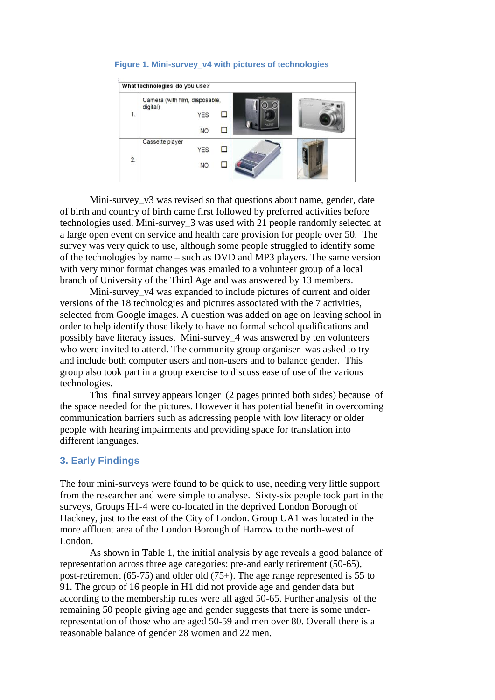

#### **Figure 1. Mini-survey\_v4 with pictures of technologies**

Mini-survey v3 was revised so that questions about name, gender, date of birth and country of birth came first followed by preferred activities before technologies used. Mini-survey\_3 was used with 21 people randomly selected at a large open event on service and health care provision for people over 50. The survey was very quick to use, although some people struggled to identify some of the technologies by name – such as DVD and MP3 players. The same version with very minor format changes was emailed to a volunteer group of a local branch of University of the Third Age and was answered by 13 members.

Mini-survey v4 was expanded to include pictures of current and older versions of the 18 technologies and pictures associated with the 7 activities, selected from Google images. A question was added on age on leaving school in order to help identify those likely to have no formal school qualifications and possibly have literacy issues. Mini-survey\_4 was answered by ten volunteers who were invited to attend. The community group organiser was asked to try and include both computer users and non-users and to balance gender. This group also took part in a group exercise to discuss ease of use of the various technologies.

This final survey appears longer (2 pages printed both sides) because of the space needed for the pictures. However it has potential benefit in overcoming communication barriers such as addressing people with low literacy or older people with hearing impairments and providing space for translation into different languages.

## **3. Early Findings**

The four mini-surveys were found to be quick to use, needing very little support from the researcher and were simple to analyse. Sixty-six people took part in the surveys, Groups H1-4 were co-located in the deprived London Borough of Hackney, just to the east of the City of London. Group UA1 was located in the more affluent area of the London Borough of Harrow to the north-west of London.

As shown in Table 1, the initial analysis by age reveals a good balance of representation across three age categories: pre-and early retirement (50-65), post-retirement (65-75) and older old (75+). The age range represented is 55 to 91. The group of 16 people in H1 did not provide age and gender data but according to the membership rules were all aged 50-65. Further analysis of the remaining 50 people giving age and gender suggests that there is some underrepresentation of those who are aged 50-59 and men over 80. Overall there is a reasonable balance of gender 28 women and 22 men.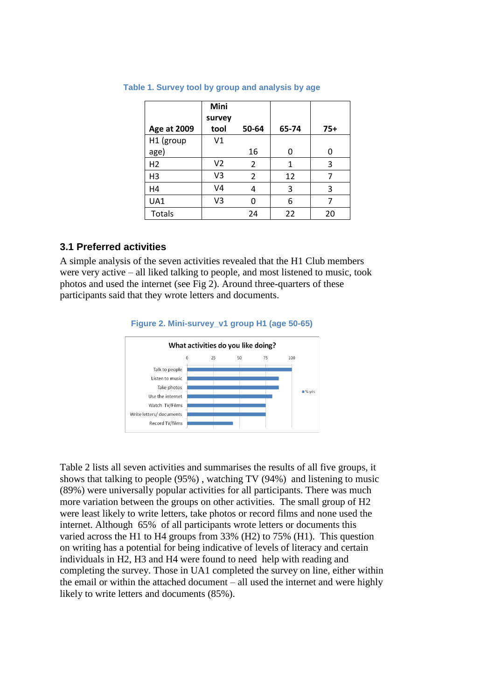|                    | Mini<br>survey |                |       |       |
|--------------------|----------------|----------------|-------|-------|
| <b>Age at 2009</b> | tool           | 50-64          | 65-74 | $75+$ |
| H1 (group          | V1             |                |       |       |
| age)               |                | 16             | O     | Ω     |
| H <sub>2</sub>     | V <sub>2</sub> | 2              | 1     | 3     |
| H3                 | V3             | $\overline{2}$ | 12    | 7     |
| H4                 | V4             | 4              | 3     | 3     |
| UA1                | V3             | ი              | 6     | 7     |
| Totals             |                | 24             | 22    | 20    |

#### **Table 1. Survey tool by group and analysis by age**

## **3.1 Preferred activities**

A simple analysis of the seven activities revealed that the H1 Club members were very active – all liked talking to people, and most listened to music, took photos and used the internet (see Fig 2). Around three-quarters of these participants said that they wrote letters and documents.



**Figure 2. Mini-survey\_v1 group H1 (age 50-65)**

Table 2 lists all seven activities and summarises the results of all five groups, it shows that talking to people (95%) , watching TV (94%) and listening to music (89%) were universally popular activities for all participants. There was much more variation between the groups on other activities. The small group of H2 were least likely to write letters, take photos or record films and none used the internet. Although 65% of all participants wrote letters or documents this varied across the H1 to H4 groups from 33% (H2) to 75% (H1). This question on writing has a potential for being indicative of levels of literacy and certain individuals in H2, H3 and H4 were found to need help with reading and completing the survey. Those in UA1 completed the survey on line, either within the email or within the attached document – all used the internet and were highly likely to write letters and documents (85%).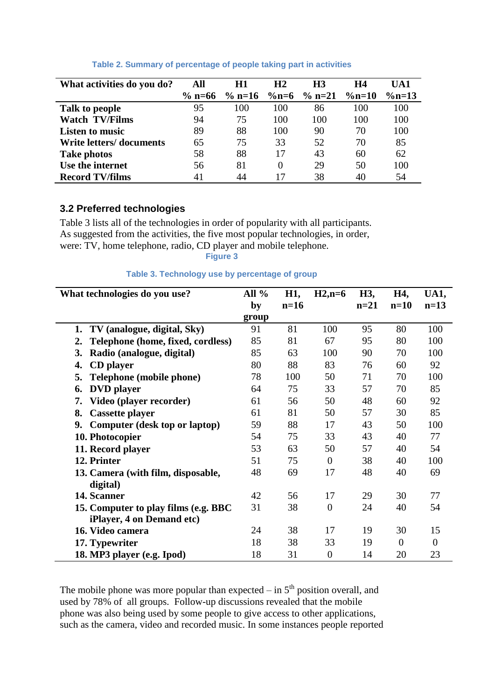| What activities do you do?     | All    | H1     | H <sub>2</sub> | H <sub>3</sub> | H4        | UA1       |
|--------------------------------|--------|--------|----------------|----------------|-----------|-----------|
|                                | % n=66 | % n=16 | $\%n=6$        | $\%$ n=21      | $\%$ n=10 | $\%$ n=13 |
| Talk to people                 | 95     | 100    | 100            | 86             | 100       | 100       |
| <b>Watch TV/Films</b>          | 94     | 75     | 100            | 100            | 100       | 100       |
| <b>Listen to music</b>         | 89     | 88     | 100            | 90             | 70        | 100       |
| <b>Write letters/documents</b> | 65     | 75     | 33             | 52             | 70        | 85        |
| <b>Take photos</b>             | 58     | 88     | 17             | 43             | 60        | 62        |
| Use the internet               | 56     | 81     | $\Omega$       | 29             | 50        | 100       |
| <b>Record TV/films</b>         | 41     | 44     | 17             | 38             | 40        | 54        |

## **Table 2. Summary of percentage of people taking part in activities**

## **3.2 Preferred technologies**

Table 3 lists all of the technologies in order of popularity with all participants. As suggested from the activities, the five most popular technologies, in order, were: TV, home telephone, radio, CD player and mobile telephone.

**Figure 3**

## **Table 3. Technology use by percentage of group**

| What technologies do you use?           | All $%$ | H1,    | $H2, n=6$        | H3,    | H4,            | UA1,           |
|-----------------------------------------|---------|--------|------------------|--------|----------------|----------------|
|                                         | by      | $n=16$ |                  | $n=21$ | $n=10$         | $n=13$         |
|                                         | group   |        |                  |        |                |                |
| TV (analogue, digital, Sky)<br>1.       | 91      | 81     | 100              | 95     | 80             | 100            |
| Telephone (home, fixed, cordless)<br>2. | 85      | 81     | 67               | 95     | 80             | 100            |
| 3.<br>Radio (analogue, digital)         | 85      | 63     | 100              | 90     | 70             | 100            |
| 4.<br>CD player                         | 80      | 88     | 83               | 76     | 60             | 92             |
| 5.<br>Telephone (mobile phone)          | 78      | 100    | 50               | 71     | 70             | 100            |
| <b>DVD</b> player<br>6.                 | 64      | 75     | 33               | 57     | 70             | 85             |
| Video (player recorder)<br>7.           | 61      | 56     | 50               | 48     | 60             | 92             |
| <b>Cassette player</b><br>8.            | 61      | 81     | 50               | 57     | 30             | 85             |
| 9.<br>Computer (desk top or laptop)     | 59      | 88     | 17               | 43     | 50             | 100            |
| 10. Photocopier                         | 54      | 75     | 33               | 43     | 40             | 77             |
| 11. Record player                       | 53      | 63     | 50               | 57     | 40             | 54             |
| 12. Printer                             | 51      | 75     | $\overline{0}$   | 38     | 40             | 100            |
| 13. Camera (with film, disposable,      | 48      | 69     | 17               | 48     | 40             | 69             |
| digital)                                |         |        |                  |        |                |                |
| 14. Scanner                             | 42      | 56     | 17               | 29     | 30             | 77             |
| 15. Computer to play films (e.g. BBC)   | 31      | 38     | $\overline{0}$   | 24     | 40             | 54             |
| iPlayer, 4 on Demand etc)               |         |        |                  |        |                |                |
| 16. Video camera                        | 24      | 38     | 17               | 19     | 30             | 15             |
| 17. Typewriter                          | 18      | 38     | 33               | 19     | $\overline{0}$ | $\overline{0}$ |
| 18. MP3 player (e.g. Ipod)              | 18      | 31     | $\boldsymbol{0}$ | 14     | 20             | 23             |

The mobile phone was more popular than expected  $-$  in  $5<sup>th</sup>$  position overall, and used by 78% of all groups. Follow-up discussions revealed that the mobile phone was also being used by some people to give access to other applications, such as the camera, video and recorded music. In some instances people reported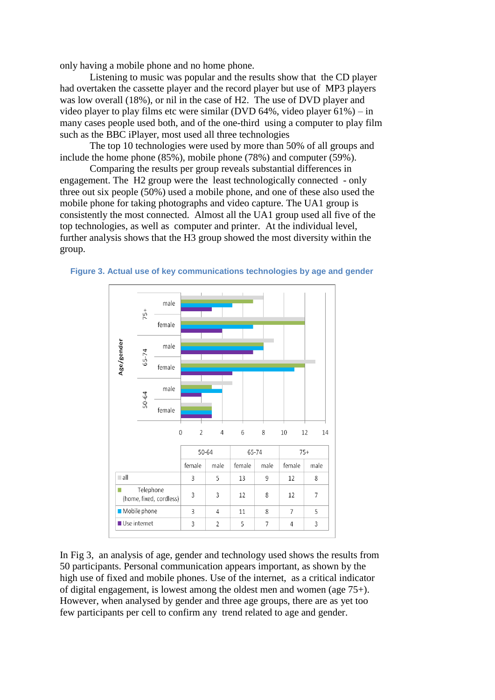only having a mobile phone and no home phone.

Listening to music was popular and the results show that the CD player had overtaken the cassette player and the record player but use of MP3 players was low overall (18%), or nil in the case of H2. The use of DVD player and video player to play films etc were similar (DVD 64%, video player  $61\%$ ) – in many cases people used both, and of the one-third using a computer to play film such as the BBC iPlayer, most used all three technologies

The top 10 technologies were used by more than 50% of all groups and include the home phone (85%), mobile phone (78%) and computer (59%).

Comparing the results per group reveals substantial differences in engagement. The H2 group were the least technologically connected - only three out six people (50%) used a mobile phone, and one of these also used the mobile phone for taking photographs and video capture. The UA1 group is consistently the most connected. Almost all the UA1 group used all five of the top technologies, as well as computer and printer. At the individual level, further analysis shows that the H3 group showed the most diversity within the group.





In Fig 3, an analysis of age, gender and technology used shows the results from 50 participants. Personal communication appears important, as shown by the high use of fixed and mobile phones. Use of the internet, as a critical indicator of digital engagement, is lowest among the oldest men and women (age 75+). However, when analysed by gender and three age groups, there are as yet too few participants per cell to confirm any trend related to age and gender.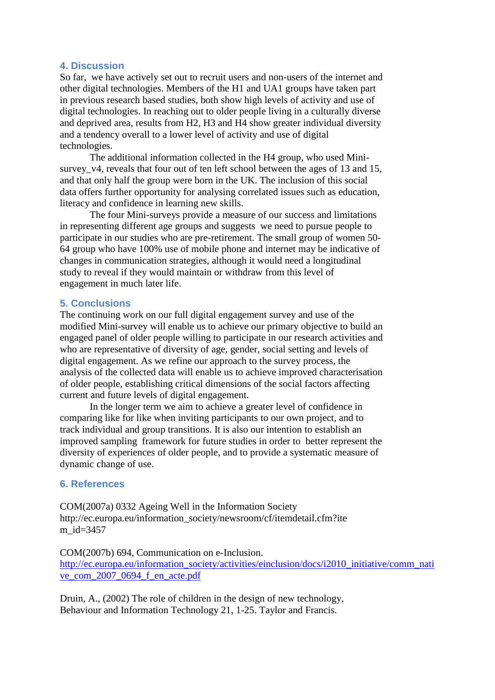## **4. Discussion**

So far, we have actively set out to recruit users and non-users of the internet and other digital technologies. Members of the H1 and UA1 groups have taken part in previous research based studies, both show high levels of activity and use of digital technologies. In reaching out to older people living in a culturally diverse and deprived area, results from H2, H3 and H4 show greater individual diversity and a tendency overall to a lower level of activity and use of digital technologies.

The additional information collected in the H4 group, who used Minisurvey v4, reveals that four out of ten left school between the ages of 13 and 15, and that only half the group were born in the UK. The inclusion of this social data offers further opportunity for analysing correlated issues such as education, literacy and confidence in learning new skills.

The four Mini-surveys provide a measure of our success and limitations in representing different age groups and suggests we need to pursue people to participate in our studies who are pre-retirement. The small group of women 50- 64 group who have 100% use of mobile phone and internet may be indicative of changes in communication strategies, although it would need a longitudinal study to reveal if they would maintain or withdraw from this level of engagement in much later life.

## **5. Conclusions**

The continuing work on our full digital engagement survey and use of the modified Mini-survey will enable us to achieve our primary objective to build an engaged panel of older people willing to participate in our research activities and who are representative of diversity of age, gender, social setting and levels of digital engagement. As we refine our approach to the survey process, the analysis of the collected data will enable us to achieve improved characterisation of older people, establishing critical dimensions of the social factors affecting current and future levels of digital engagement.

In the longer term we aim to achieve a greater level of confidence in comparing like for like when inviting participants to our own project, and to track individual and group transitions. It is also our intention to establish an improved sampling framework for future studies in order to better represent the diversity of experiences of older people, and to provide a systematic measure of dynamic change of use.

## **6. References**

COM(2007a) 0332 Ageing Well in the Information Society http://ec.europa.eu/information\_society/newsroom/cf/itemdetail.cfm?ite m\_id=3457

COM(2007b) 694, Communication on e-Inclusion. [http://ec.europa.eu/information\\_society/activities/einclusion/docs/i2010\\_initiative/comm\\_nati](http://ec.europa.eu/information_society/activities/einclusion/docs/i2010_initiative/comm_native_com_2007_0694_f_en_acte.pdf) [ve\\_com\\_2007\\_0694\\_f\\_en\\_acte.pdf](http://ec.europa.eu/information_society/activities/einclusion/docs/i2010_initiative/comm_native_com_2007_0694_f_en_acte.pdf)

Druin, A., (2002) The role of children in the design of new technology, Behaviour and Information Technology 21, 1-25. Taylor and Francis.